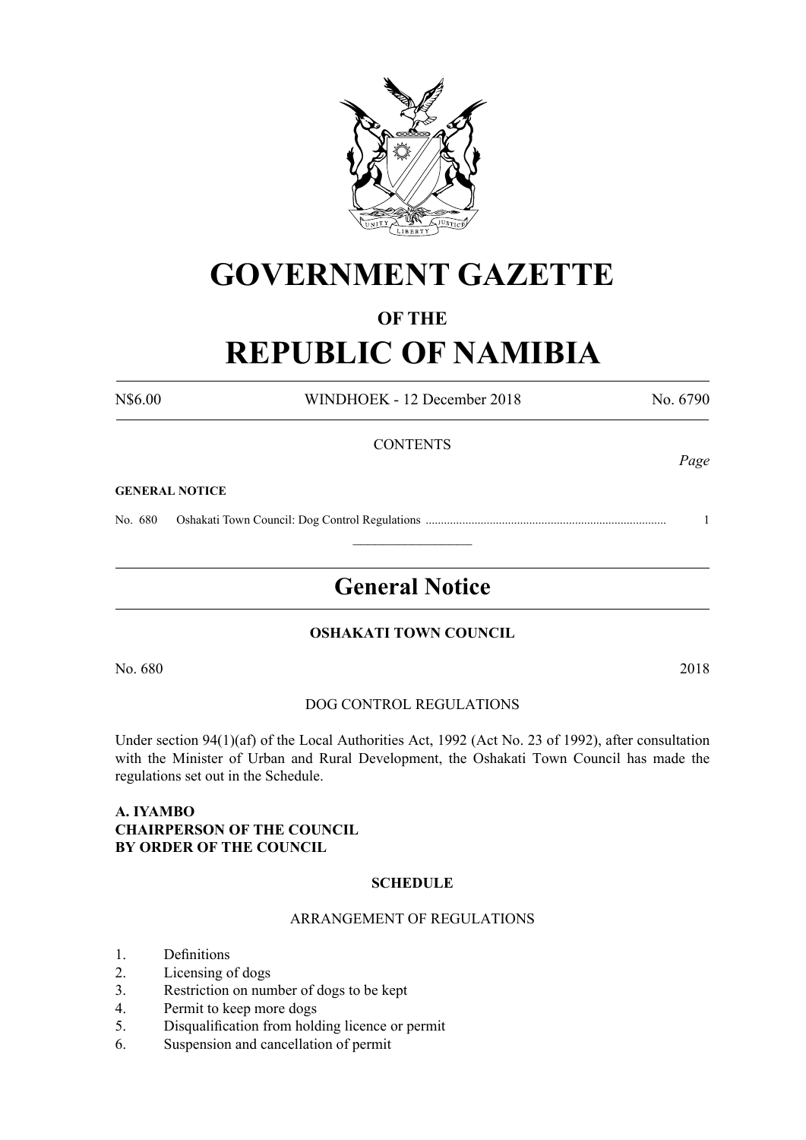

# **GOVERNMENT GAZETTE**

# **OF THE**

# **REPUBLIC OF NAMIBIA**

N\$6.00 WINDHOEK - 12 December 2018 No. 6790 **CONTENTS** 

#### **GENERAL NOTICE**

No. 680 Oshakati Town Council: Dog Control Regulations ............................................................................... 1

# **General Notice**

 $\frac{1}{2}$ 

#### **OSHAKATI TOWN COUNCIL**

No. 680 2018

#### DOG CONTROL REGULATIONS

Under section 94(1)(af) of the Local Authorities Act, 1992 (Act No. 23 of 1992), after consultation with the Minister of Urban and Rural Development, the Oshakati Town Council has made the regulations set out in the Schedule.

# **A. IYAMBO CHAIRPERSON OF THE COUNCIL BY ORDER OF THE COUNCIL**

#### **SCHEDULE**

#### ARRANGEMENT OF REGULATIONS

- 1. Definitions
- 2. Licensing of dogs
- 3. Restriction on number of dogs to be kept
- 4. Permit to keep more dogs
- 5. Disqualification from holding licence or permit
- 6. Suspension and cancellation of permit

*Page*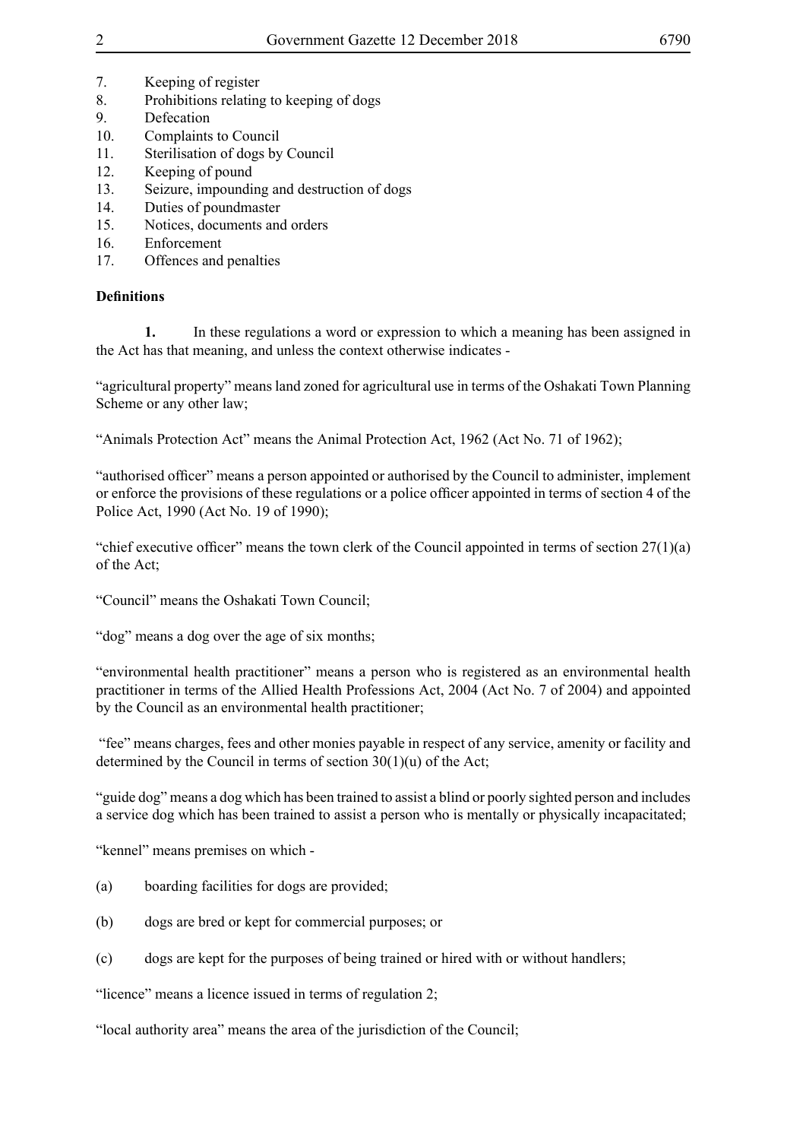- 7. Keeping of register
- 8. Prohibitions relating to keeping of dogs
- 9. Defecation
- 10. Complaints to Council
- 11. Sterilisation of dogs by Council
- 12. Keeping of pound
- 13. Seizure, impounding and destruction of dogs
- 14. Duties of poundmaster
- 15. Notices, documents and orders
- 16. Enforcement
- 17. Offences and penalties

# **Definitions**

**1.** In these regulations a word or expression to which a meaning has been assigned in the Act has that meaning, and unless the context otherwise indicates -

"agricultural property" means land zoned for agricultural use in terms of the Oshakati Town Planning Scheme or any other law;

"Animals Protection Act" means the Animal Protection Act, 1962 (Act No. 71 of 1962);

"authorised officer" means a person appointed or authorised by the Council to administer, implement or enforce the provisions of these regulations or a police officer appointed in terms of section 4 of the Police Act, 1990 (Act No. 19 of 1990);

"chief executive officer" means the town clerk of the Council appointed in terms of section  $27(1)(a)$ of the Act;

"Council" means the Oshakati Town Council;

"dog" means a dog over the age of six months;

"environmental health practitioner" means a person who is registered as an environmental health practitioner in terms of the Allied Health Professions Act, 2004 (Act No. 7 of 2004) and appointed by the Council as an environmental health practitioner;

 "fee" means charges, fees and other monies payable in respect of any service, amenity or facility and determined by the Council in terms of section 30(1)(u) of the Act;

"guide dog" means a dog which has been trained to assist a blind or poorly sighted person and includes a service dog which has been trained to assist a person who is mentally or physically incapacitated;

"kennel" means premises on which -

- (a) boarding facilities for dogs are provided;
- (b) dogs are bred or kept for commercial purposes; or
- (c) dogs are kept for the purposes of being trained or hired with or without handlers;

"licence" means a licence issued in terms of regulation 2;

"local authority area" means the area of the jurisdiction of the Council;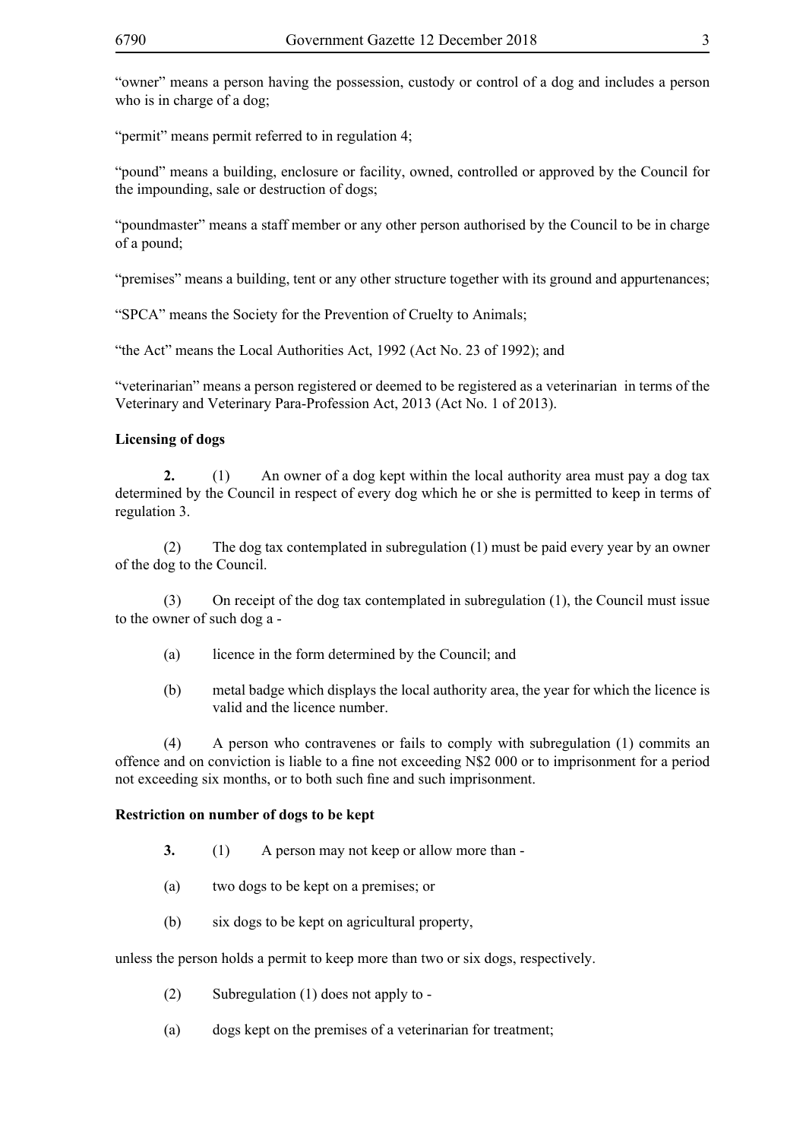"permit" means permit referred to in regulation 4;

"pound" means a building, enclosure or facility, owned, controlled or approved by the Council for the impounding, sale or destruction of dogs;

"poundmaster" means a staff member or any other person authorised by the Council to be in charge of a pound;

"premises" means a building, tent or any other structure together with its ground and appurtenances;

"SPCA" means the Society for the Prevention of Cruelty to Animals;

"the Act" means the Local Authorities Act, 1992 (Act No. 23 of 1992); and

"veterinarian" means a person registered or deemed to be registered as a veterinarian in terms of the Veterinary and Veterinary Para-Profession Act, 2013 (Act No. 1 of 2013).

# **Licensing of dogs**

**2.** (1) An owner of a dog kept within the local authority area must pay a dog tax determined by the Council in respect of every dog which he or she is permitted to keep in terms of regulation 3.

(2) The dog tax contemplated in subregulation (1) must be paid every year by an owner of the dog to the Council.

(3) On receipt of the dog tax contemplated in subregulation (1), the Council must issue to the owner of such dog a -

- (a) licence in the form determined by the Council; and
- (b) metal badge which displays the local authority area, the year for which the licence is valid and the licence number.

(4) A person who contravenes or fails to comply with subregulation (1) commits an offence and on conviction is liable to a fine not exceeding N\$2 000 or to imprisonment for a period not exceeding six months, or to both such fine and such imprisonment.

# **Restriction on number of dogs to be kept**

- **3.** (1) A person may not keep or allow more than -
- (a) two dogs to be kept on a premises; or
- (b) six dogs to be kept on agricultural property,

unless the person holds a permit to keep more than two or six dogs, respectively.

- (2) Subregulation (1) does not apply to -
- (a) dogs kept on the premises of a veterinarian for treatment;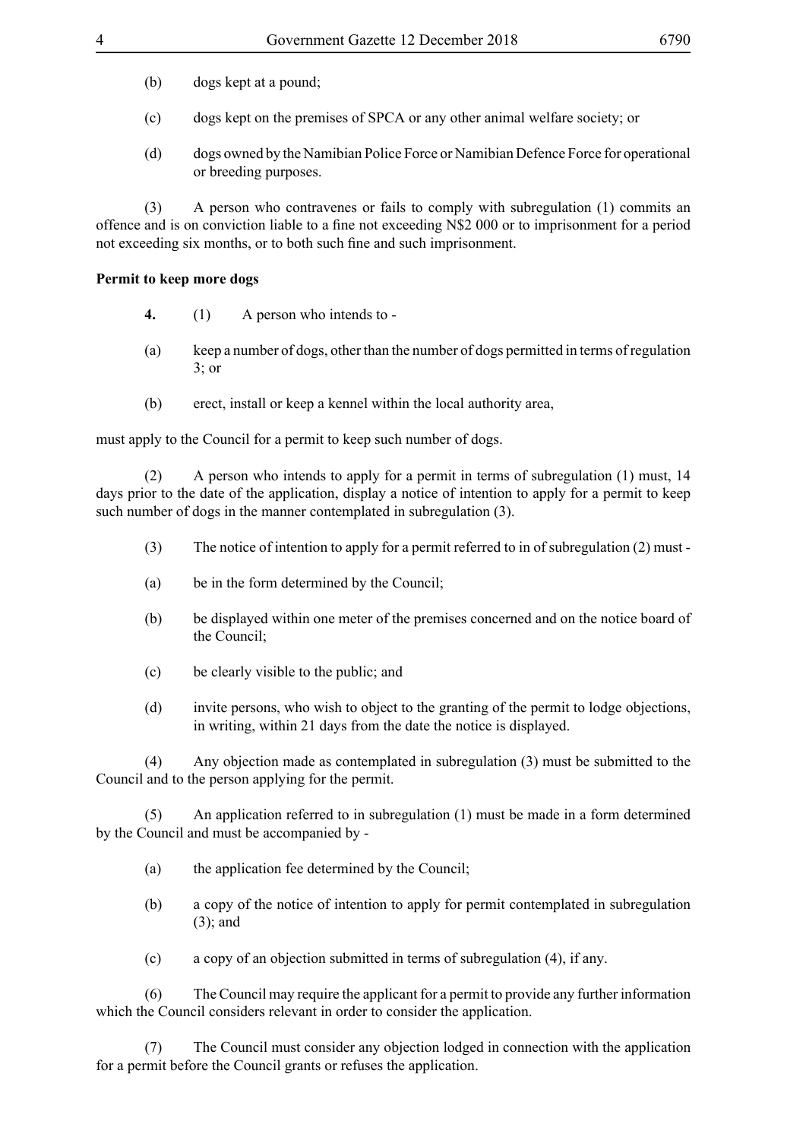- (b) dogs kept at a pound;
- (c) dogs kept on the premises of SPCA or any other animal welfare society; or
- (d) dogs owned by the Namibian Police Force or Namibian Defence Force for operational or breeding purposes.

(3) A person who contravenes or fails to comply with subregulation (1) commits an offence and is on conviction liable to a fine not exceeding N\$2 000 or to imprisonment for a period not exceeding six months, or to both such fine and such imprisonment.

#### **Permit to keep more dogs**

- **4.** (1) A person who intends to -
- (a) keep a number of dogs, other than the number of dogs permitted in terms of regulation 3; or
- (b) erect, install or keep a kennel within the local authority area,

must apply to the Council for a permit to keep such number of dogs.

(2) A person who intends to apply for a permit in terms of subregulation (1) must, 14 days prior to the date of the application, display a notice of intention to apply for a permit to keep such number of dogs in the manner contemplated in subregulation (3).

- (3) The notice of intention to apply for a permit referred to in of subregulation (2) must -
- (a) be in the form determined by the Council;
- (b) be displayed within one meter of the premises concerned and on the notice board of the Council;
- (c) be clearly visible to the public; and
- (d) invite persons, who wish to object to the granting of the permit to lodge objections, in writing, within 21 days from the date the notice is displayed.

(4) Any objection made as contemplated in subregulation (3) must be submitted to the Council and to the person applying for the permit.

An application referred to in subregulation (1) must be made in a form determined by the Council and must be accompanied by -

- (a) the application fee determined by the Council;
- (b) a copy of the notice of intention to apply for permit contemplated in subregulation (3); and
- (c) a copy of an objection submitted in terms of subregulation (4), if any.

(6) The Council may require the applicant for a permit to provide any further information which the Council considers relevant in order to consider the application.

(7) The Council must consider any objection lodged in connection with the application for a permit before the Council grants or refuses the application.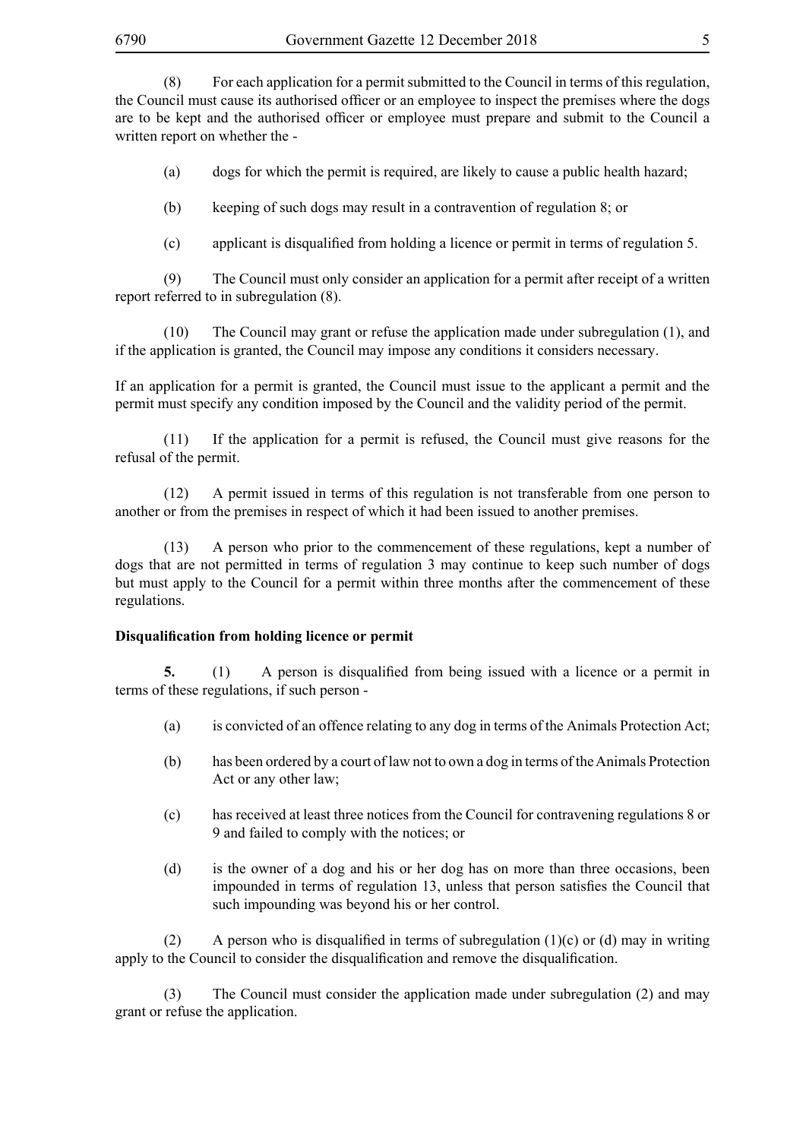(8) For each application for a permit submitted to the Council in terms of this regulation, the Council must cause its authorised officer or an employee to inspect the premises where the dogs are to be kept and the authorised officer or employee must prepare and submit to the Council a written report on whether the -

(a) dogs for which the permit is required, are likely to cause a public health hazard;

(b) keeping of such dogs may result in a contravention of regulation 8; or

(c) applicant is disqualified from holding a licence or permit in terms of regulation 5.

(9) The Council must only consider an application for a permit after receipt of a written report referred to in subregulation (8).

(10) The Council may grant or refuse the application made under subregulation (1), and if the application is granted, the Council may impose any conditions it considers necessary.

If an application for a permit is granted, the Council must issue to the applicant a permit and the permit must specify any condition imposed by the Council and the validity period of the permit.

(11) If the application for a permit is refused, the Council must give reasons for the refusal of the permit.

(12) A permit issued in terms of this regulation is not transferable from one person to another or from the premises in respect of which it had been issued to another premises.

(13) A person who prior to the commencement of these regulations, kept a number of dogs that are not permitted in terms of regulation 3 may continue to keep such number of dogs but must apply to the Council for a permit within three months after the commencement of these regulations.

#### **Disqualification from holding licence or permit**

**5.** (1) A person is disqualified from being issued with a licence or a permit in terms of these regulations, if such person -

- (a) is convicted of an offence relating to any dog in terms of the Animals Protection Act;
- (b) has been ordered by a court of law not to own a dog in terms of the Animals Protection Act or any other law;
- (c) has received at least three notices from the Council for contravening regulations 8 or 9 and failed to comply with the notices; or
- (d) is the owner of a dog and his or her dog has on more than three occasions, been impounded in terms of regulation 13, unless that person satisfies the Council that such impounding was beyond his or her control.

(2) A person who is disqualified in terms of subregulation (1)(c) or (d) may in writing apply to the Council to consider the disqualification and remove the disqualification.

(3) The Council must consider the application made under subregulation (2) and may grant or refuse the application.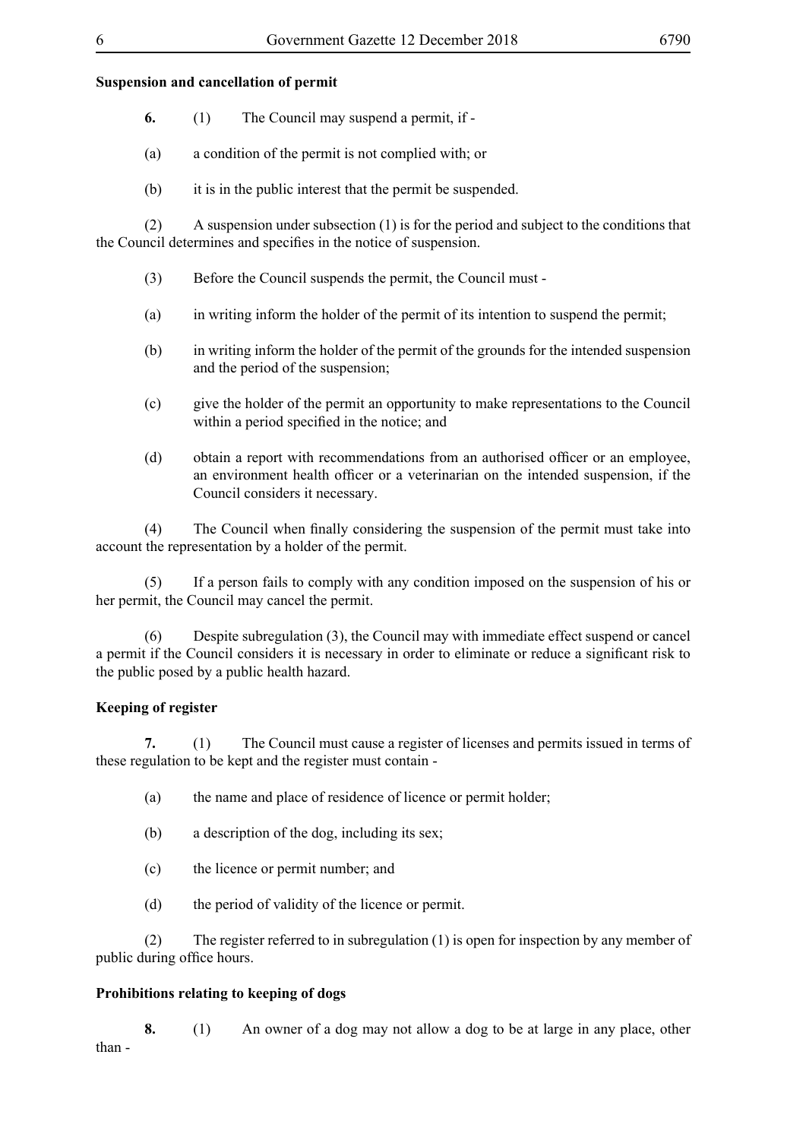# **Suspension and cancellation of permit**

- **6.** (1) The Council may suspend a permit, if -
- (a) a condition of the permit is not complied with; or
- (b) it is in the public interest that the permit be suspended.

(2) A suspension under subsection (1) is for the period and subject to the conditions that the Council determines and specifies in the notice of suspension.

- (3) Before the Council suspends the permit, the Council must -
- (a) in writing inform the holder of the permit of its intention to suspend the permit;
- (b) in writing inform the holder of the permit of the grounds for the intended suspension and the period of the suspension;
- (c) give the holder of the permit an opportunity to make representations to the Council within a period specified in the notice; and
- (d) obtain a report with recommendations from an authorised officer or an employee, an environment health officer or a veterinarian on the intended suspension, if the Council considers it necessary.

 (4) The Council when finally considering the suspension of the permit must take into account the representation by a holder of the permit.

(5) If a person fails to comply with any condition imposed on the suspension of his or her permit, the Council may cancel the permit.

(6) Despite subregulation (3), the Council may with immediate effect suspend or cancel a permit if the Council considers it is necessary in order to eliminate or reduce a significant risk to the public posed by a public health hazard.

# **Keeping of register**

**7.** (1) The Council must cause a register of licenses and permits issued in terms of these regulation to be kept and the register must contain -

- (a) the name and place of residence of licence or permit holder;
- (b) a description of the dog, including its sex;
- (c) the licence or permit number; and
- (d) the period of validity of the licence or permit.

(2) The register referred to in subregulation (1) is open for inspection by any member of public during office hours.

# **Prohibitions relating to keeping of dogs**

**8.** (1) An owner of a dog may not allow a dog to be at large in any place, other than -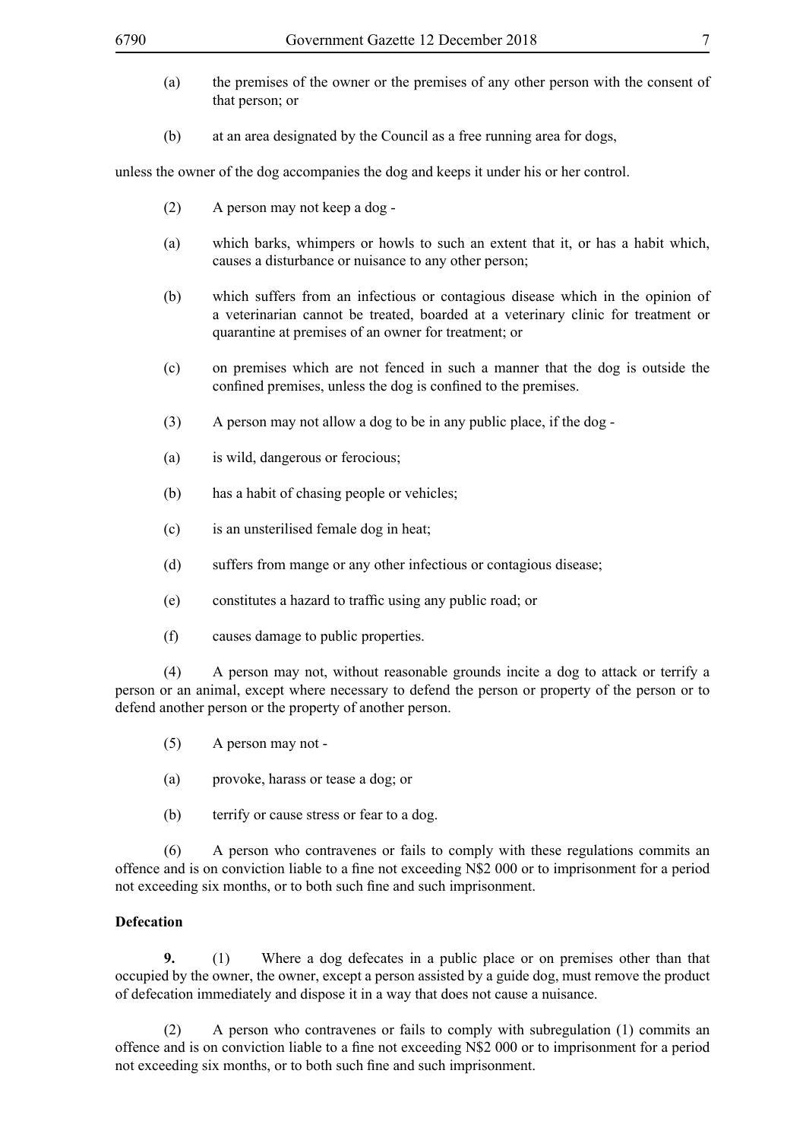- (a) the premises of the owner or the premises of any other person with the consent of that person; or
- (b) at an area designated by the Council as a free running area for dogs,

unless the owner of the dog accompanies the dog and keeps it under his or her control.

- (2) A person may not keep a dog -
- (a) which barks, whimpers or howls to such an extent that it, or has a habit which, causes a disturbance or nuisance to any other person;
- (b) which suffers from an infectious or contagious disease which in the opinion of a veterinarian cannot be treated, boarded at a veterinary clinic for treatment or quarantine at premises of an owner for treatment; or
- (c) on premises which are not fenced in such a manner that the dog is outside the confined premises, unless the dog is confined to the premises.
- (3) A person may not allow a dog to be in any public place, if the dog -
- (a) is wild, dangerous or ferocious;
- (b) has a habit of chasing people or vehicles;
- (c) is an unsterilised female dog in heat;
- (d) suffers from mange or any other infectious or contagious disease;
- (e) constitutes a hazard to traffic using any public road; or
- (f) causes damage to public properties.

(4) A person may not, without reasonable grounds incite a dog to attack or terrify a person or an animal, except where necessary to defend the person or property of the person or to defend another person or the property of another person.

- (5) A person may not -
- (a) provoke, harass or tease a dog; or
- (b) terrify or cause stress or fear to a dog.

(6) A person who contravenes or fails to comply with these regulations commits an offence and is on conviction liable to a fine not exceeding N\$2 000 or to imprisonment for a period not exceeding six months, or to both such fine and such imprisonment.

#### **Defecation**

**9.** (1) Where a dog defecates in a public place or on premises other than that occupied by the owner, the owner, except a person assisted by a guide dog, must remove the product of defecation immediately and dispose it in a way that does not cause a nuisance.

(2) A person who contravenes or fails to comply with subregulation (1) commits an offence and is on conviction liable to a fine not exceeding N\$2 000 or to imprisonment for a period not exceeding six months, or to both such fine and such imprisonment.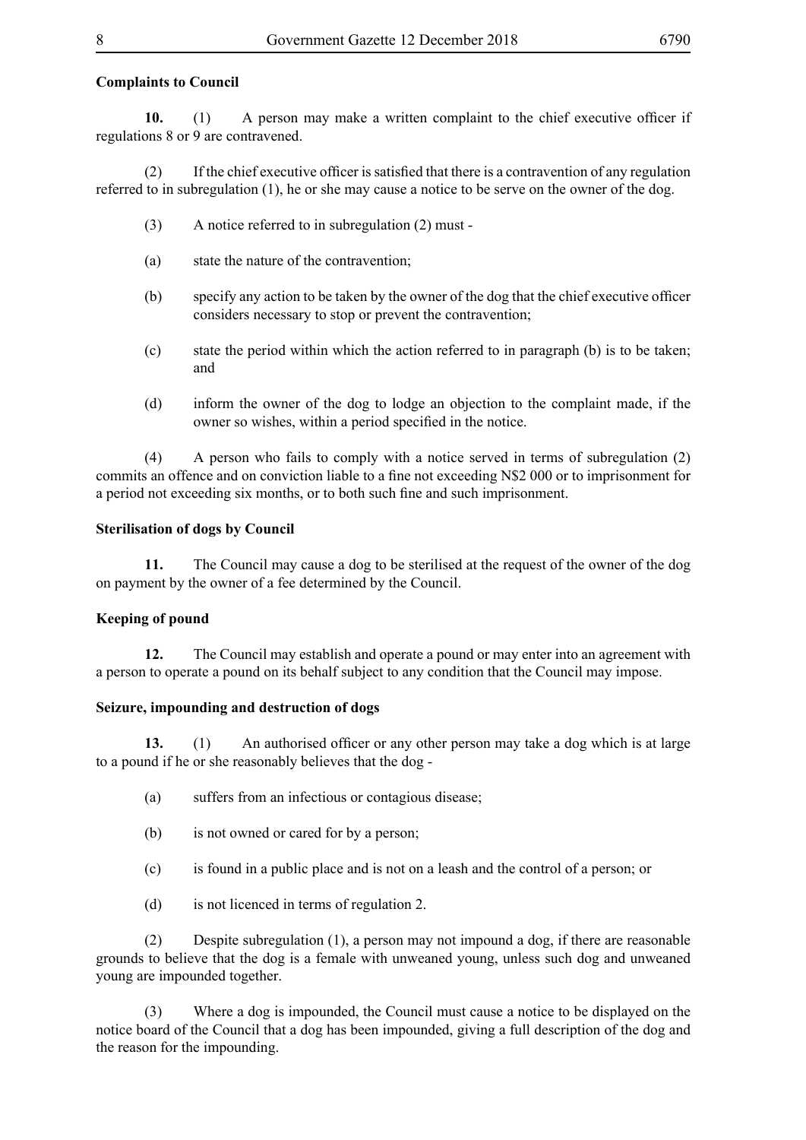#### **Complaints to Council**

**10.** (1) A person may make a written complaint to the chief executive officer if regulations 8 or 9 are contravened.

 $(2)$  If the chief executive officer is satisfied that there is a contravention of any regulation referred to in subregulation (1), he or she may cause a notice to be serve on the owner of the dog.

- (3) A notice referred to in subregulation (2) must -
- (a) state the nature of the contravention;
- (b) specify any action to be taken by the owner of the dog that the chief executive officer considers necessary to stop or prevent the contravention;
- (c) state the period within which the action referred to in paragraph (b) is to be taken; and
- (d) inform the owner of the dog to lodge an objection to the complaint made, if the owner so wishes, within a period specified in the notice.

(4) A person who fails to comply with a notice served in terms of subregulation (2) commits an offence and on conviction liable to a fine not exceeding N\$2 000 or to imprisonment for a period not exceeding six months, or to both such fine and such imprisonment.

#### **Sterilisation of dogs by Council**

**11.** The Council may cause a dog to be sterilised at the request of the owner of the dog on payment by the owner of a fee determined by the Council.

#### **Keeping of pound**

**12.** The Council may establish and operate a pound or may enter into an agreement with a person to operate a pound on its behalf subject to any condition that the Council may impose.

#### **Seizure, impounding and destruction of dogs**

**13.** (1) An authorised officer or any other person may take a dog which is at large to a pound if he or she reasonably believes that the dog -

- (a) suffers from an infectious or contagious disease;
- (b) is not owned or cared for by a person;
- (c) is found in a public place and is not on a leash and the control of a person; or
- (d) is not licenced in terms of regulation 2.

(2) Despite subregulation (1), a person may not impound a dog, if there are reasonable grounds to believe that the dog is a female with unweaned young, unless such dog and unweaned young are impounded together.

(3) Where a dog is impounded, the Council must cause a notice to be displayed on the notice board of the Council that a dog has been impounded, giving a full description of the dog and the reason for the impounding.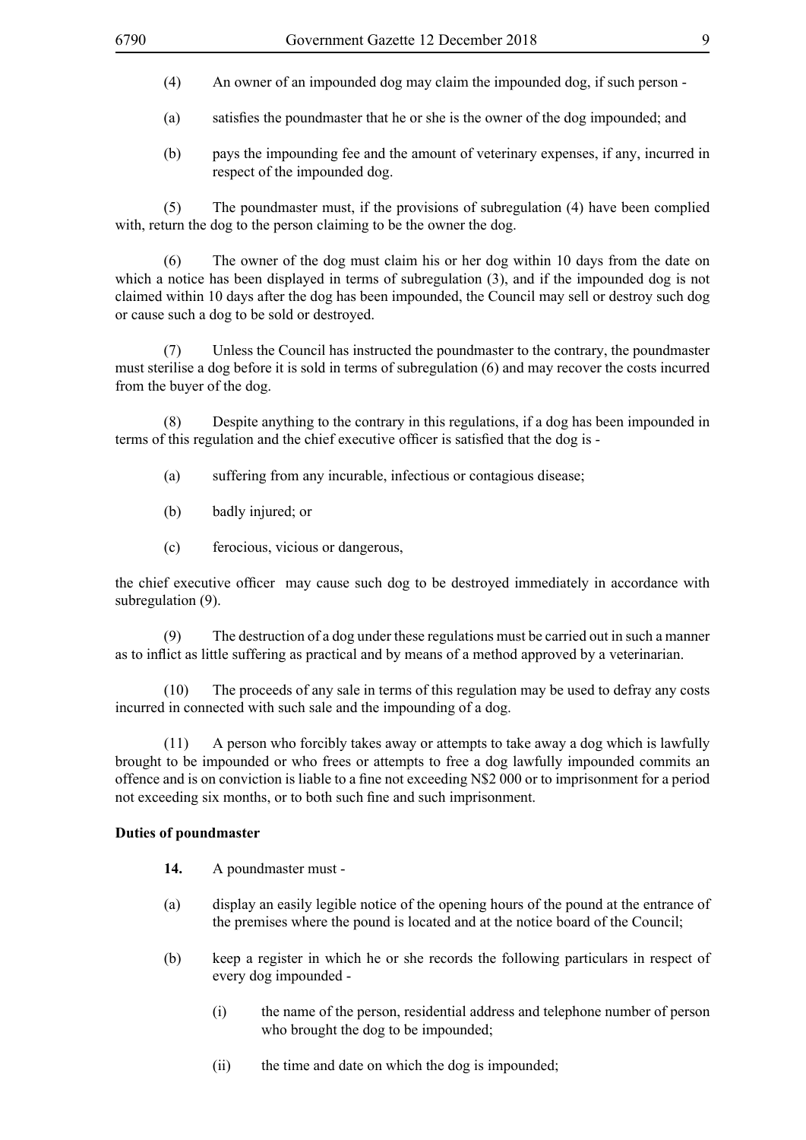- (4) An owner of an impounded dog may claim the impounded dog, if such person -
- (a) satisfies the poundmaster that he or she is the owner of the dog impounded; and
- (b) pays the impounding fee and the amount of veterinary expenses, if any, incurred in respect of the impounded dog.

(5) The poundmaster must, if the provisions of subregulation (4) have been complied with, return the dog to the person claiming to be the owner the dog.

(6) The owner of the dog must claim his or her dog within 10 days from the date on which a notice has been displayed in terms of subregulation (3), and if the impounded dog is not claimed within 10 days after the dog has been impounded, the Council may sell or destroy such dog or cause such a dog to be sold or destroyed.

(7) Unless the Council has instructed the poundmaster to the contrary, the poundmaster must sterilise a dog before it is sold in terms of subregulation (6) and may recover the costs incurred from the buyer of the dog.

(8) Despite anything to the contrary in this regulations, if a dog has been impounded in terms of this regulation and the chief executive officer is satisfied that the dog is -

- (a) suffering from any incurable, infectious or contagious disease;
- (b) badly injured; or
- (c) ferocious, vicious or dangerous,

the chief executive officer may cause such dog to be destroyed immediately in accordance with subregulation (9).

(9) The destruction of a dog under these regulations must be carried out in such a manner as to inflict as little suffering as practical and by means of a method approved by a veterinarian.

(10) The proceeds of any sale in terms of this regulation may be used to defray any costs incurred in connected with such sale and the impounding of a dog.

(11) A person who forcibly takes away or attempts to take away a dog which is lawfully brought to be impounded or who frees or attempts to free a dog lawfully impounded commits an offence and is on conviction is liable to a fine not exceeding N\$2 000 or to imprisonment for a period not exceeding six months, or to both such fine and such imprisonment.

#### **Duties of poundmaster**

- **14.** A poundmaster must -
- (a) display an easily legible notice of the opening hours of the pound at the entrance of the premises where the pound is located and at the notice board of the Council;
- (b) keep a register in which he or she records the following particulars in respect of every dog impounded -
	- (i) the name of the person, residential address and telephone number of person who brought the dog to be impounded;
	- (ii) the time and date on which the dog is impounded;